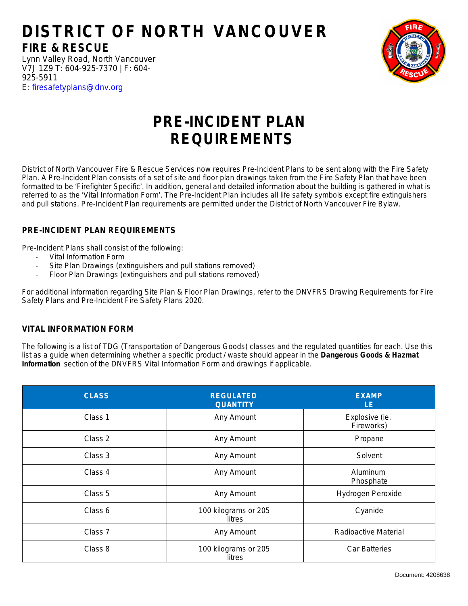## **DISTRICT OF NORTH VANCOUVER FIRE & RESCUE**

Lynn Valley Road, North Vancouver V7J 1Z9 [T: 604-925-7370 | F: 604-](mailto:firesafetyplans@westvancouver.ca) 925-5911 E: [firesafetyplans@dnv.org](mailto:firesafetyplans@dnv.org)

## **PRE-INCIDENT PLAN REQUIREMENTS**

District of North Vancouver Fire & Rescue Services now requires Pre-Incident Plans to be sent along with the Fire Safety Plan. A Pre-Incident Plan consists of a set of site and floor plan drawings taken from the Fire Safety Plan that have been formatted to be 'Firefighter Specific'. In addition, general and detailed information about the building is gathered in what is referred to as the 'Vital Information Form'. The Pre-Incident Plan includes all life safety symbols except fire extinguishers and pull stations. Pre-Incident Plan requirements are permitted under the District of North Vancouver Fire Bylaw.

## **PRE-INCIDENT PLAN REQUIREMENTS**

Pre-Incident Plans shall consist of the following:

- Vital Information Form
- Site Plan Drawings (extinguishers and pull stations removed)
- Floor Plan Drawings (extinguishers and pull stations removed)

For additional information regarding Site Plan & Floor Plan Drawings, refer to the DNVFRS Drawing Requirements for Fire Safety Plans and Pre-Incident Fire Safety Plans 2020.

## **VITAL INFORMATION FORM**

The following is a list of TDG (Transportation of Dangerous Goods) classes and the regulated quantities for each. Use this list as a guide when determining whether a specific product / waste should appear in the **Dangerous Goods & Hazmat Information** section of the DNVFRS Vital Information Form and drawings if applicable.

| <b>CLASS</b> | <b>REGULATED</b><br><b>QUANTITY</b> | <b>EXAMP</b><br>LE.          |
|--------------|-------------------------------------|------------------------------|
| Class 1      | Any Amount                          | Explosive (ie.<br>Fireworks) |
| Class 2      | Any Amount                          | Propane                      |
| Class 3      | Any Amount                          | Solvent                      |
| Class 4      | Any Amount                          | Aluminum<br>Phosphate        |
| Class 5      | Any Amount                          | Hydrogen Peroxide            |
| Class 6      | 100 kilograms or 205<br>litres      | Cyanide                      |
| Class 7      | Any Amount                          | Radioactive Material         |
| Class 8      | 100 kilograms or 205<br>litres      | Car Batteries                |